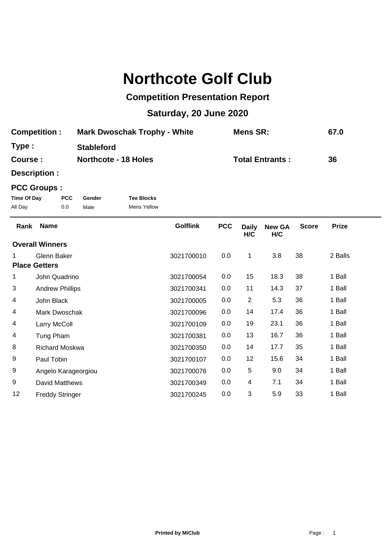## **Northcote Golf Club**

## **Competition Presentation Report**

## **Saturday, 20 June 2020**

| <b>Competition:</b> | <b>Mark Dwoschak Trophy - White</b> | <b>Mens SR:</b>        | 67.0 |
|---------------------|-------------------------------------|------------------------|------|
| Type :              | <b>Stableford</b>                   |                        |      |
| <b>Course :</b>     | <b>Northcote - 18 Holes</b>         | <b>Total Entrants:</b> | 36   |

**Description :**

## **PCC Groups :**

| Time Of Day | <b>PCC</b> | Gender | <b>Tee Blocks</b> |
|-------------|------------|--------|-------------------|
| All Day     | 0.0        | Male   | Mens Yellow       |

| Rank                   | <b>Name</b>            | <b>Golflink</b> | <b>PCC</b> | <b>Daily</b><br>H/C | <b>New GA</b><br>H/C | <b>Score</b> | <b>Prize</b> |
|------------------------|------------------------|-----------------|------------|---------------------|----------------------|--------------|--------------|
| <b>Overall Winners</b> |                        |                 |            |                     |                      |              |              |
| 1                      | Glenn Baker            | 3021700010      | 0.0        | $\mathbf 1$         | 3.8                  | 38           | 2 Balls      |
| <b>Place Getters</b>   |                        |                 |            |                     |                      |              |              |
| 1                      | John Quadrino          | 3021700054      | 0.0        | 15                  | 18.3                 | 38           | 1 Ball       |
| 3                      | <b>Andrew Phillips</b> | 3021700341      | 0.0        | 11                  | 14.3                 | 37           | 1 Ball       |
| 4                      | John Black             | 3021700005      | 0.0        | $\overline{2}$      | 5.3                  | 36           | 1 Ball       |
| 4                      | Mark Dwoschak          | 3021700096      | 0.0        | 14                  | 17.4                 | 36           | 1 Ball       |
| 4                      | Larry McColl           | 3021700109      | 0.0        | 19                  | 23.1                 | 36           | 1 Ball       |
| 4                      | Tung Pham              | 3021700381      | 0.0        | 13                  | 16.7                 | 36           | 1 Ball       |
| 8                      | Richard Moskwa         | 3021700350      | 0.0        | 14                  | 17.7                 | 35           | 1 Ball       |
| 9                      | Paul Tobin             | 3021700107      | 0.0        | 12                  | 15.6                 | 34           | 1 Ball       |
| 9                      | Angelo Karageorgiou    | 3021700076      | 0.0        | 5                   | 9.0                  | 34           | 1 Ball       |
| 9                      | David Matthews         | 3021700349      | 0.0        | 4                   | 7.1                  | 34           | 1 Ball       |
| 12                     | <b>Freddy Stringer</b> | 3021700245      | 0.0        | 3                   | 5.9                  | 33           | 1 Ball       |